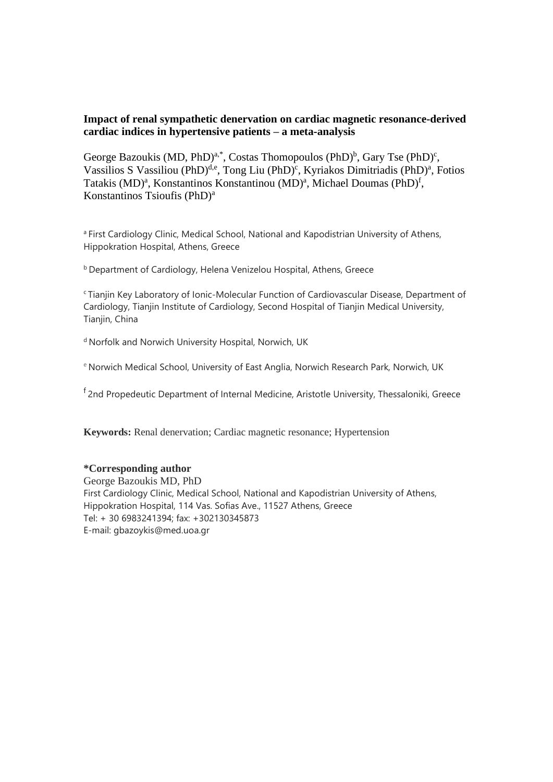# **Impact of renal sympathetic denervation on cardiac magnetic resonance-derived cardiac indices in hypertensive patients – a meta-analysis**

George Bazoukis (MD, PhD)<sup>a,\*</sup>, Costas Thomopoulos (PhD)<sup>b</sup>, Gary Tse (PhD)<sup>c</sup>, Vassilios S Vassiliou (PhD)<sup>d,e</sup>, Tong Liu (PhD)<sup>c</sup>, Kyriakos Dimitriadis (PhD)<sup>a</sup>, Fotios Tatakis (MD)<sup>a</sup>, Konstantinos Konstantinou (MD)<sup>a</sup>, Michael Doumas (PhD)<sup>f</sup>, Konstantinos Tsioufis (PhD) a

a First Cardiology Clinic, Medical School, National and Kapodistrian University of Athens, Hippokration Hospital, Athens, Greece

**b** Department of Cardiology, Helena Venizelou Hospital, Athens, Greece

<sup>c</sup>Tianjin Key Laboratory of Ionic-Molecular Function of Cardiovascular Disease, Department of Cardiology, Tianjin Institute of Cardiology, Second Hospital of Tianjin Medical University, Tianjin, China

<sup>d</sup> Norfolk and Norwich University Hospital, Norwich, UK

e Norwich Medical School, University of East Anglia, Norwich Research Park, Norwich, UK

<sup>f</sup> 2nd Propedeutic Department of Internal Medicine, Aristotle University, Thessaloniki, Greece

**Keywords:** Renal denervation; Cardiac magnetic resonance; Hypertension

### **\*Corresponding author**

George Bazoukis MD, PhD First Cardiology Clinic, Medical School, National and Kapodistrian University of Athens, Hippokration Hospital, 114 Vas. Sofias Ave., 11527 Athens, Greece Tel: + 30 6983241394; fax: +302130345873 E-mail: gbazoykis@med.uoa.gr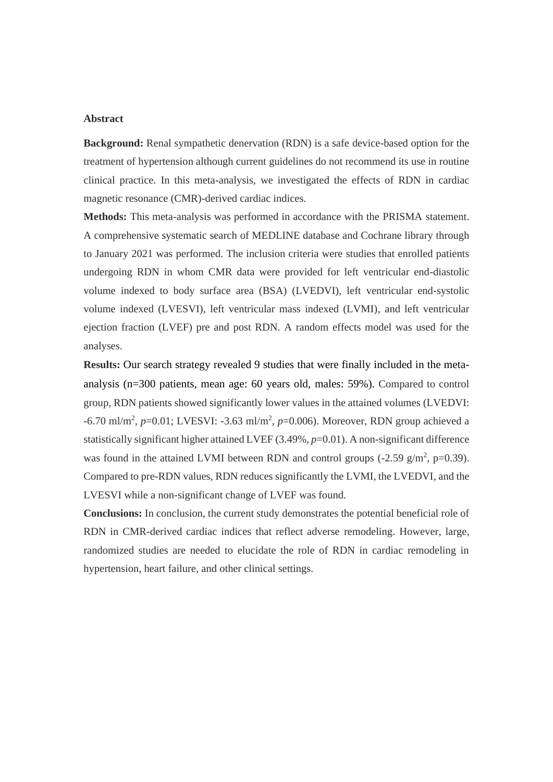### **Abstract**

**Background:** Renal sympathetic denervation (RDN) is a safe device-based option for the treatment of hypertension although current guidelines do not recommend its use in routine clinical practice. In this meta-analysis, we investigated the effects of RDN in cardiac magnetic resonance (CMR)-derived cardiac indices.

**Methods:** This meta-analysis was performed in accordance with the PRISMA statement. A comprehensive systematic search of MEDLINE database and Cochrane library through to January 2021 was performed. The inclusion criteria were studies that enrolled patients undergoing RDN in whom CMR data were provided for left ventricular end-diastolic volume indexed to body surface area (BSA) (LVEDVI), left ventricular end-systolic volume indexed (LVESVI), left ventricular mass indexed (LVMI), and left ventricular ejection fraction (LVEF) pre and post RDN. A random effects model was used for the analyses.

**Results:** Our search strategy revealed 9 studies that were finally included in the metaanalysis (n=300 patients, mean age: 60 years old, males: 59%). Compared to control group, RDN patients showed significantly lower values in the attained volumes (LVEDVI: -6.70 ml/m<sup>2</sup>, p=0.01; LVESVI: -3.63 ml/m<sup>2</sup>, p=0.006). Moreover, RDN group achieved a statistically significant higher attained LVEF (3.49%, *p*=0.01). A non-significant difference was found in the attained LVMI between RDN and control groups  $(-2.59 \text{ g/m}^2, \text{p=0.39})$ . Compared to pre-RDN values, RDN reduces significantly the LVMI, the LVEDVI, and the LVESVI while a non-significant change of LVEF was found.

**Conclusions:** In conclusion, the current study demonstrates the potential beneficial role of RDN in CMR-derived cardiac indices that reflect adverse remodeling. However, large, randomized studies are needed to elucidate the role of RDN in cardiac remodeling in hypertension, heart failure, and other clinical settings.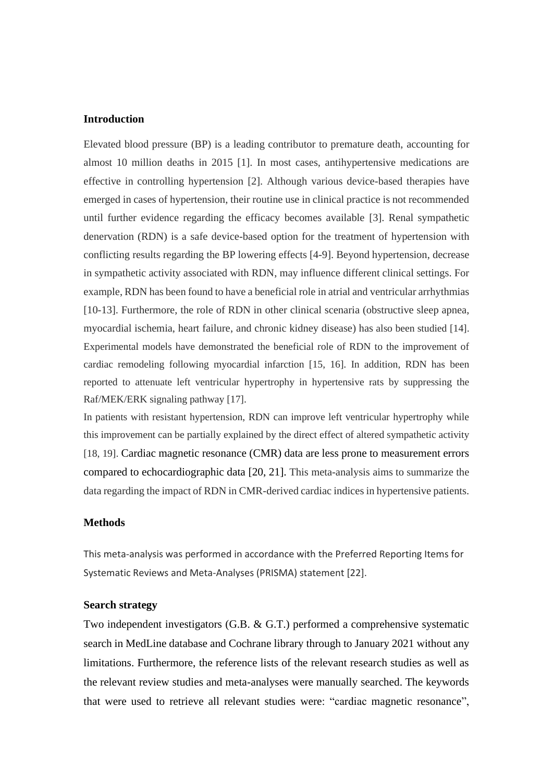# **Introduction**

Elevated blood pressure (BP) is a leading contributor to premature death, accounting for almost 10 million deaths in 2015 [1]. In most cases, antihypertensive medications are effective in controlling hypertension [2]. Although various device-based therapies have emerged in cases of hypertension, their routine use in clinical practice is not recommended until further evidence regarding the efficacy becomes available [3]. Renal sympathetic denervation (RDN) is a safe device-based option for the treatment of hypertension with conflicting results regarding the BP lowering effects [4-9]. Beyond hypertension, decrease in sympathetic activity associated with RDN, may influence different clinical settings. For example, RDN has been found to have a beneficial role in atrial and ventricular arrhythmias [10-13]. Furthermore, the role of RDN in other clinical scenaria (obstructive sleep apnea, myocardial ischemia, heart failure, and chronic kidney disease) has also been studied [14]. Experimental models have demonstrated the beneficial role of RDN to the improvement of cardiac remodeling following myocardial infarction [15, 16]. In addition, RDN has been reported to attenuate left ventricular hypertrophy in hypertensive rats by suppressing the Raf/MEK/ERK signaling pathway [17].

In patients with resistant hypertension, RDN can improve left ventricular hypertrophy while this improvement can be partially explained by the direct effect of altered sympathetic activity [18, 19]. Cardiac magnetic resonance (CMR) data are less prone to measurement errors compared to echocardiographic data [20, 21]. This meta-analysis aims to summarize the data regarding the impact of RDN in CMR-derived cardiac indices in hypertensive patients.

# **Methods**

This meta-analysis was performed in accordance with the Preferred Reporting Items for Systematic Reviews and Meta-Analyses (PRISMA) statement [22].

## **Search strategy**

Two independent investigators (G.B. & G.T.) performed a comprehensive systematic search in MedLine database and Cochrane library through to January 2021 without any limitations. Furthermore, the reference lists of the relevant research studies as well as the relevant review studies and meta-analyses were manually searched. The keywords that were used to retrieve all relevant studies were: "cardiac magnetic resonance",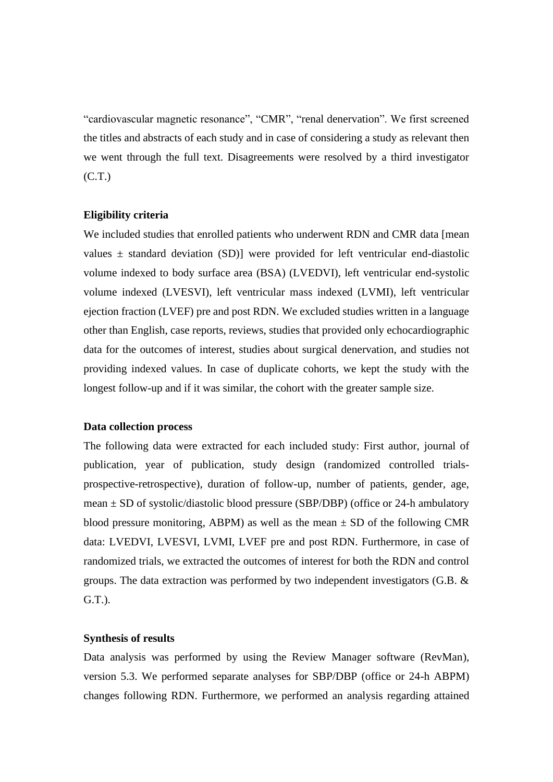"cardiovascular magnetic resonance", "CMR", "renal denervation". We first screened the titles and abstracts of each study and in case of considering a study as relevant then we went through the full text. Disagreements were resolved by a third investigator (C.T.)

## **Eligibility criteria**

We included studies that enrolled patients who underwent RDN and CMR data [mean] values  $\pm$  standard deviation (SD)] were provided for left ventricular end-diastolic volume indexed to body surface area (BSA) (LVEDVI), left ventricular end-systolic volume indexed (LVESVI), left ventricular mass indexed (LVMI), left ventricular ejection fraction (LVEF) pre and post RDN. We excluded studies written in a language other than English, case reports, reviews, studies that provided only echocardiographic data for the outcomes of interest, studies about surgical denervation, and studies not providing indexed values. In case of duplicate cohorts, we kept the study with the longest follow-up and if it was similar, the cohort with the greater sample size.

### **Data collection process**

The following data were extracted for each included study: First author, journal of publication, year of publication, study design (randomized controlled trialsprospective-retrospective), duration of follow-up, number of patients, gender, age, mean ± SD of systolic/diastolic blood pressure (SBP/DBP) (office or 24-h ambulatory blood pressure monitoring, ABPM) as well as the mean  $\pm$  SD of the following CMR data: LVEDVI, LVESVI, LVMI, LVEF pre and post RDN. Furthermore, in case of randomized trials, we extracted the outcomes of interest for both the RDN and control groups. The data extraction was performed by two independent investigators (G.B. & G.T.).

#### **Synthesis of results**

Data analysis was performed by using the Review Manager software (RevMan), version 5.3. We performed separate analyses for SBP/DBP (office or 24-h ABPM) changes following RDN. Furthermore, we performed an analysis regarding attained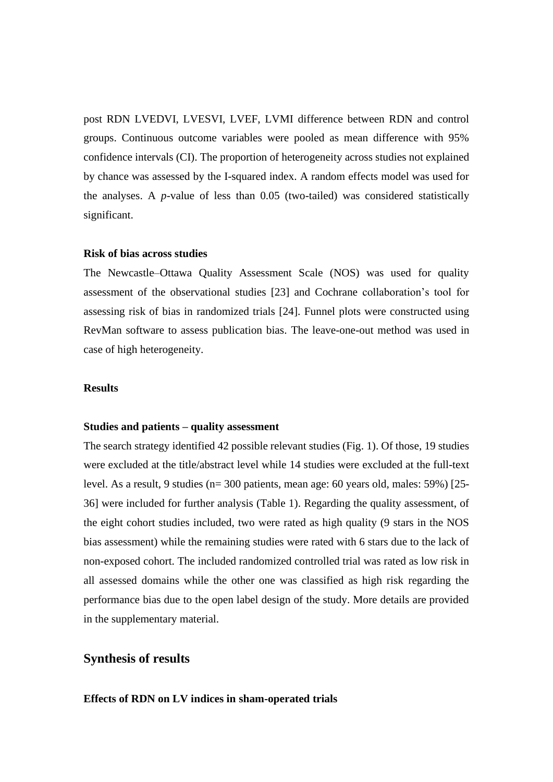post RDN LVEDVI, LVESVI, LVEF, LVMI difference between RDN and control groups. Continuous outcome variables were pooled as mean difference with 95% confidence intervals (CI). The proportion of heterogeneity across studies not explained by chance was assessed by the I-squared index. A random effects model was used for the analyses. A *p*-value of less than 0.05 (two-tailed) was considered statistically significant.

#### **Risk of bias across studies**

The Newcastle–Ottawa Quality Assessment Scale (NOS) was used for quality assessment of the observational studies [23] and Cochrane collaboration's tool for assessing risk of bias in randomized trials [24]. Funnel plots were constructed using RevMan software to assess publication bias. The leave-one-out method was used in case of high heterogeneity.

#### **Results**

### **Studies and patients – quality assessment**

The search strategy identified 42 possible relevant studies (Fig. 1). Of those, 19 studies were excluded at the title/abstract level while 14 studies were excluded at the full-text level. As a result, 9 studies (n= 300 patients, mean age: 60 years old, males: 59%) [25- 36] were included for further analysis (Table 1). Regarding the quality assessment, of the eight cohort studies included, two were rated as high quality (9 stars in the NOS bias assessment) while the remaining studies were rated with 6 stars due to the lack of non-exposed cohort. The included randomized controlled trial was rated as low risk in all assessed domains while the other one was classified as high risk regarding the performance bias due to the open label design of the study. More details are provided in the supplementary material.

# **Synthesis of results**

### **Effects of RDN on LV indices in sham-operated trials**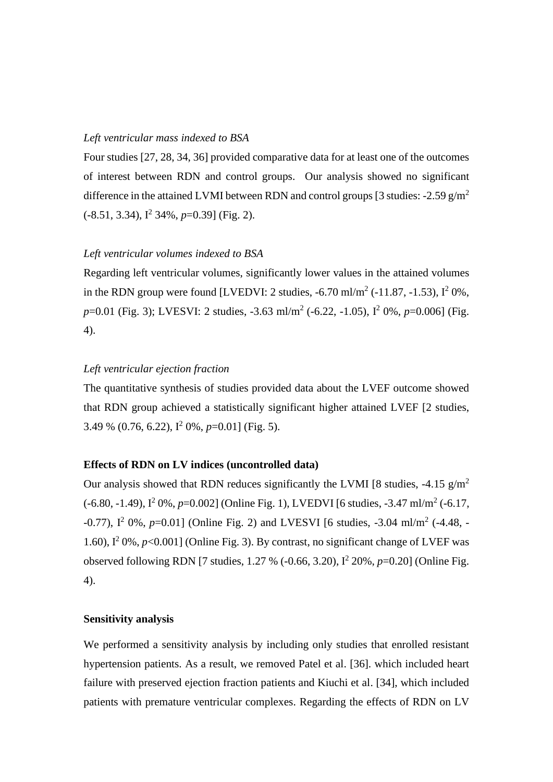# *Left ventricular mass indexed to BSA*

Four studies [27, 28, 34, 36] provided comparative data for at least one of the outcomes of interest between RDN and control groups. Our analysis showed no significant difference in the attained LVMI between RDN and control groups [3 studies: -2.59  $g/m^2$ (-8.51, 3.34), I<sup>2</sup> 34%, *p*=0.39] (Fig. 2).

### *Left ventricular volumes indexed to BSA*

Regarding left ventricular volumes, significantly lower values in the attained volumes in the RDN group were found [LVEDVI: 2 studies,  $-6.70$  ml/m<sup>2</sup> ( $-11.87, -1.53$ ),  $I^2$  0%, *p*=0.01 (Fig. 3); LVESVI: 2 studies, -3.63 ml/m<sup>2</sup> (-6.22, -1.05), I<sup>2</sup> 0%, *p*=0.006] (Fig. 4).

## *Left ventricular ejection fraction*

The quantitative synthesis of studies provided data about the LVEF outcome showed that RDN group achieved a statistically significant higher attained LVEF [2 studies, 3.49 % (0.76, 6.22), I<sup>2</sup> 0%, *p*=0.01] (Fig. 5).

## **Effects of RDN on LV indices (uncontrolled data)**

Our analysis showed that RDN reduces significantly the LVMI [8 studies,  $-4.15$  g/m<sup>2</sup> (-6.80, -1.49),  $I^2$  0%,  $p=0.002$ ] (Online Fig. 1), LVEDVI [6 studies, -3.47 ml/m<sup>2</sup> (-6.17, -0.77), I<sup>2</sup> 0%, p=0.01] (Online Fig. 2) and LVESVI [6 studies, -3.04 ml/m<sup>2</sup> (-4.48, -1.60),  $I^2$  0%,  $p$ <0.001] (Online Fig. 3). By contrast, no significant change of LVEF was observed following RDN [7 studies, 1.27 % (-0.66, 3.20), I<sup>2</sup> 20%, p=0.20] (Online Fig. 4).

## **Sensitivity analysis**

We performed a sensitivity analysis by including only studies that enrolled resistant hypertension patients. As a result, we removed Patel et al. [36]. which included heart failure with preserved ejection fraction patients and Kiuchi et al. [34], which included patients with premature ventricular complexes. Regarding the effects of RDN on LV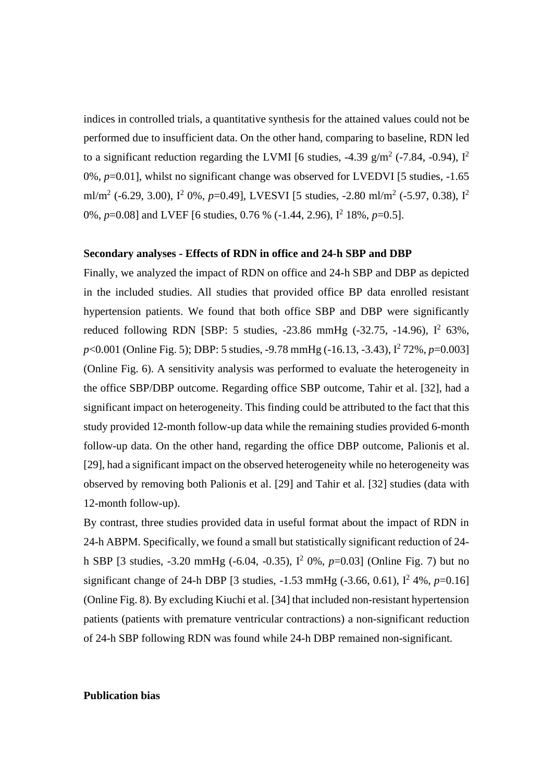indices in controlled trials, a quantitative synthesis for the attained values could not be performed due to insufficient data. On the other hand, comparing to baseline, RDN led to a significant reduction regarding the LVMI [6 studies, -4.39 g/m<sup>2</sup> (-7.84, -0.94),  $I^2$ 0%, *p*=0.01], whilst no significant change was observed for LVEDVI [5 studies, -1.65 ml/m<sup>2</sup> (-6.29, 3.00),  $I^2$  0%,  $p=0.49$ ], LVESVI [5 studies, -2.80 ml/m<sup>2</sup> (-5.97, 0.38),  $I^2$ 0%, *p*=0.08] and LVEF [6 studies, 0.76 % (-1.44, 2.96),  $I^2$  18%, *p*=0.5].

#### **Secondary analyses - Effects of RDN in office and 24-h SBP and DBP**

Finally, we analyzed the impact of RDN on office and 24-h SBP and DBP as depicted in the included studies. All studies that provided office BP data enrolled resistant hypertension patients. We found that both office SBP and DBP were significantly reduced following RDN [SBP: 5 studies,  $-23.86$  mmHg  $(-32.75, -14.96)$ ,  $I^2$  63%, *p*<0.001 (Online Fig. 5); DBP: 5 studies, -9.78 mmHg (-16.13, -3.43),  $I^2$  72%, *p*=0.003] (Online Fig. 6). A sensitivity analysis was performed to evaluate the heterogeneity in the office SBP/DBP outcome. Regarding office SBP outcome, Tahir et al. [32], had a significant impact on heterogeneity. This finding could be attributed to the fact that this study provided 12-month follow-up data while the remaining studies provided 6-month follow-up data. On the other hand, regarding the office DBP outcome, Palionis et al. [29], had a significant impact on the observed heterogeneity while no heterogeneity was observed by removing both Palionis et al. [29] and Tahir et al. [32] studies (data with 12-month follow-up).

By contrast, three studies provided data in useful format about the impact of RDN in 24-h ABPM. Specifically, we found a small but statistically significant reduction of 24 h SBP [3 studies, -3.20 mmHg (-6.04, -0.35), I<sup>2</sup> 0%, *p*=0.03] (Online Fig. 7) but no significant change of 24-h DBP [3 studies,  $-1.53$  mmHg  $(-3.66, 0.61)$ ,  $I^2$  4%,  $p=0.16$ ] (Online Fig. 8). By excluding Kiuchi et al. [34] that included non-resistant hypertension patients (patients with premature ventricular contractions) a non-significant reduction of 24-h SBP following RDN was found while 24-h DBP remained non-significant.

### **Publication bias**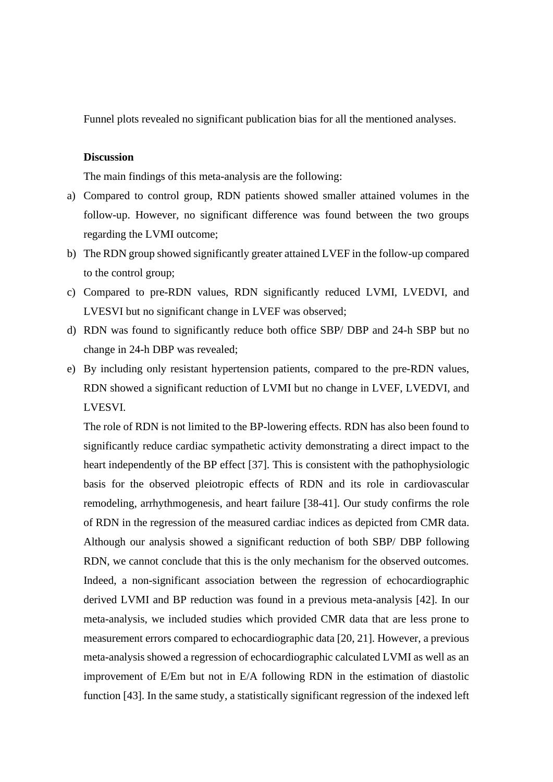Funnel plots revealed no significant publication bias for all the mentioned analyses.

# **Discussion**

The main findings of this meta-analysis are the following:

- a) Compared to control group, RDN patients showed smaller attained volumes in the follow-up. However, no significant difference was found between the two groups regarding the LVMI outcome;
- b) The RDN group showed significantly greater attained LVEF in the follow-up compared to the control group;
- c) Compared to pre-RDN values, RDN significantly reduced LVMI, LVEDVI, and LVESVI but no significant change in LVEF was observed;
- d) RDN was found to significantly reduce both office SBP/ DBP and 24-h SBP but no change in 24-h DBP was revealed;
- e) By including only resistant hypertension patients, compared to the pre-RDN values, RDN showed a significant reduction of LVMI but no change in LVEF, LVEDVI, and LVESVI.

The role of RDN is not limited to the BP-lowering effects. RDN has also been found to significantly reduce cardiac sympathetic activity demonstrating a direct impact to the heart independently of the BP effect [37]. This is consistent with the pathophysiologic basis for the observed pleiotropic effects of RDN and its role in cardiovascular remodeling, arrhythmogenesis, and heart failure [38-41]. Our study confirms the role of RDN in the regression of the measured cardiac indices as depicted from CMR data. Although our analysis showed a significant reduction of both SBP/ DBP following RDN, we cannot conclude that this is the only mechanism for the observed outcomes. Indeed, a non-significant association between the regression of echocardiographic derived LVMI and BP reduction was found in a previous meta-analysis [42]. In our meta-analysis, we included studies which provided CMR data that are less prone to measurement errors compared to echocardiographic data [20, 21]. However, a previous meta-analysis showed a regression of echocardiographic calculated LVMI as well as an improvement of E/Em but not in E/A following RDN in the estimation of diastolic function [43]. In the same study, a statistically significant regression of the indexed left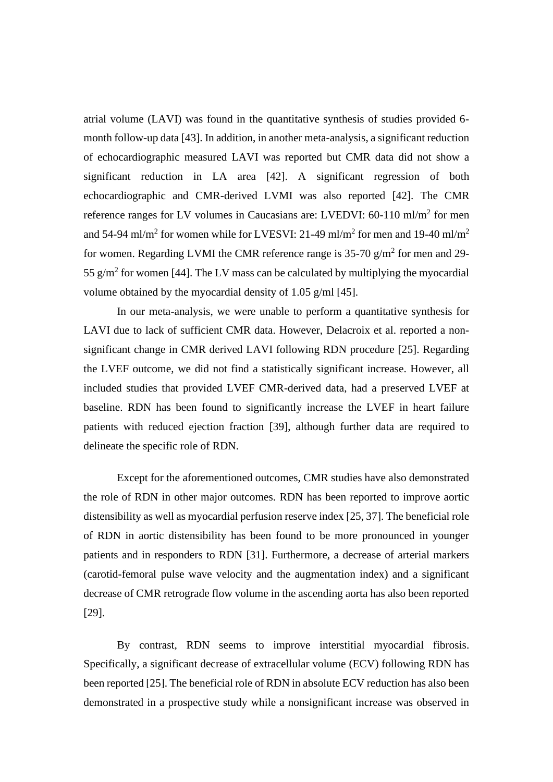atrial volume (LAVI) was found in the quantitative synthesis of studies provided 6 month follow-up data [43]. In addition, in another meta-analysis, a significant reduction of echocardiographic measured LAVI was reported but CMR data did not show a significant reduction in LA area [42]. A significant regression of both echocardiographic and CMR-derived LVMI was also reported [42]. The CMR reference ranges for LV volumes in Caucasians are: LVEDVI: 60-110 ml/m<sup>2</sup> for men and 54-94 ml/m<sup>2</sup> for women while for LVESVI: 21-49 ml/m<sup>2</sup> for men and 19-40 ml/m<sup>2</sup> for women. Regarding LVMI the CMR reference range is 35-70  $g/m^2$  for men and 29-55  $g/m^2$  for women [44]. The LV mass can be calculated by multiplying the myocardial volume obtained by the myocardial density of 1.05 g/ml [45].

In our meta-analysis, we were unable to perform a quantitative synthesis for LAVI due to lack of sufficient CMR data. However, Delacroix et al. reported a nonsignificant change in CMR derived LAVI following RDN procedure [25]. Regarding the LVEF outcome, we did not find a statistically significant increase. However, all included studies that provided LVEF CMR-derived data, had a preserved LVEF at baseline. RDN has been found to significantly increase the LVEF in heart failure patients with reduced ejection fraction [39], although further data are required to delineate the specific role of RDN.

Except for the aforementioned outcomes, CMR studies have also demonstrated the role of RDN in other major outcomes. RDN has been reported to improve aortic distensibility as well as myocardial perfusion reserve index [25, 37]. The beneficial role of RDN in aortic distensibility has been found to be more pronounced in younger patients and in responders to RDN [31]. Furthermore, a decrease of arterial markers (carotid-femoral pulse wave velocity and the augmentation index) and a significant decrease of CMR retrograde flow volume in the ascending aorta has also been reported [29].

By contrast, RDN seems to improve interstitial myocardial fibrosis. Specifically, a significant decrease of extracellular volume (ECV) following RDN has been reported [25]. The beneficial role of RDN in absolute ECV reduction has also been demonstrated in a prospective study while a nonsignificant increase was observed in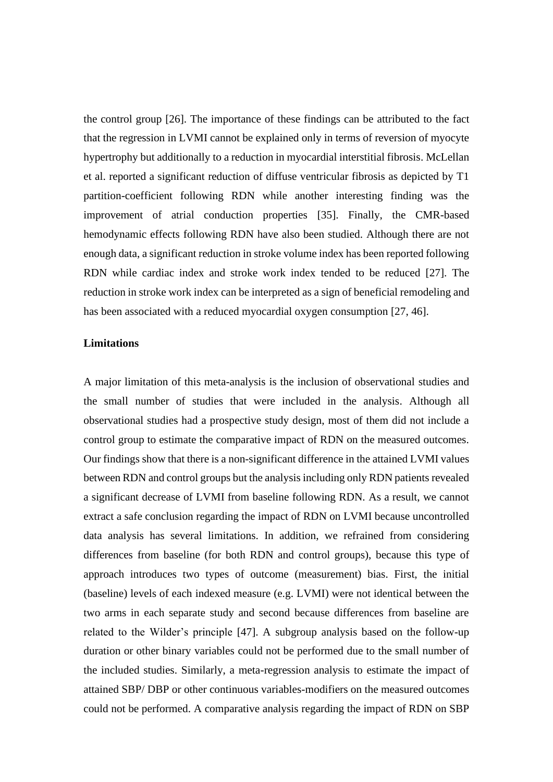the control group [26]. The importance of these findings can be attributed to the fact that the regression in LVMI cannot be explained only in terms of reversion of myocyte hypertrophy but additionally to a reduction in myocardial interstitial fibrosis. McLellan et al. reported a significant reduction of diffuse ventricular fibrosis as depicted by T1 partition-coefficient following RDN while another interesting finding was the improvement of atrial conduction properties [35]. Finally, the CMR-based hemodynamic effects following RDN have also been studied. Although there are not enough data, a significant reduction in stroke volume index has been reported following RDN while cardiac index and stroke work index tended to be reduced [27]. The reduction in stroke work index can be interpreted as a sign of beneficial remodeling and has been associated with a reduced myocardial oxygen consumption [27, 46].

## **Limitations**

A major limitation of this meta-analysis is the inclusion of observational studies and the small number of studies that were included in the analysis. Although all observational studies had a prospective study design, most of them did not include a control group to estimate the comparative impact of RDN on the measured outcomes. Our findings show that there is a non-significant difference in the attained LVMI values between RDN and control groups but the analysis including only RDN patients revealed a significant decrease of LVMI from baseline following RDN. As a result, we cannot extract a safe conclusion regarding the impact of RDN on LVMI because uncontrolled data analysis has several limitations. In addition, we refrained from considering differences from baseline (for both RDN and control groups), because this type of approach introduces two types of outcome (measurement) bias. First, the initial (baseline) levels of each indexed measure (e.g. LVMI) were not identical between the two arms in each separate study and second because differences from baseline are related to the Wilder's principle [47]. A subgroup analysis based on the follow-up duration or other binary variables could not be performed due to the small number of the included studies. Similarly, a meta-regression analysis to estimate the impact of attained SBP/ DBP or other continuous variables-modifiers on the measured outcomes could not be performed. A comparative analysis regarding the impact of RDN on SBP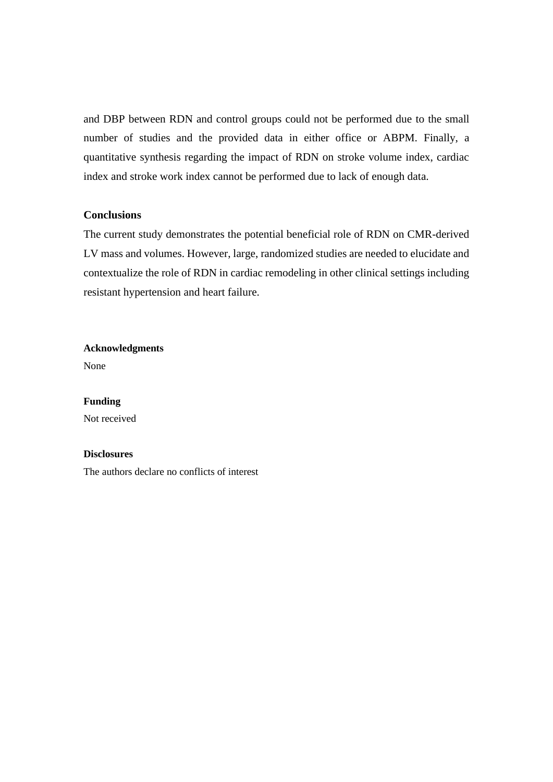and DBP between RDN and control groups could not be performed due to the small number of studies and the provided data in either office or ABPM. Finally, a quantitative synthesis regarding the impact of RDN on stroke volume index, cardiac index and stroke work index cannot be performed due to lack of enough data.

# **Conclusions**

The current study demonstrates the potential beneficial role of RDN on CMR-derived LV mass and volumes. However, large, randomized studies are needed to elucidate and contextualize the role of RDN in cardiac remodeling in other clinical settings including resistant hypertension and heart failure.

### **Acknowledgments**

None

#### **Funding**

Not received

### **Disclosures**

The authors declare no conflicts of interest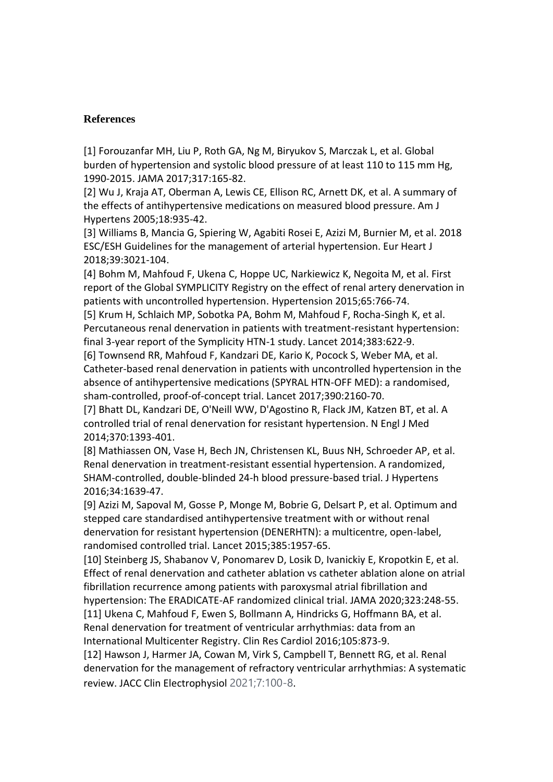# **References**

[1] Forouzanfar MH, Liu P, Roth GA, Ng M, Biryukov S, Marczak L, et al. Global burden of hypertension and systolic blood pressure of at least 110 to 115 mm Hg, 1990-2015. JAMA 2017;317:165-82.

[2] Wu J, Kraja AT, Oberman A, Lewis CE, Ellison RC, Arnett DK, et al. A summary of the effects of antihypertensive medications on measured blood pressure. Am J Hypertens 2005;18:935-42.

[3] Williams B, Mancia G, Spiering W, Agabiti Rosei E, Azizi M, Burnier M, et al. 2018 ESC/ESH Guidelines for the management of arterial hypertension. Eur Heart J 2018;39:3021-104.

[4] Bohm M, Mahfoud F, Ukena C, Hoppe UC, Narkiewicz K, Negoita M, et al. First report of the Global SYMPLICITY Registry on the effect of renal artery denervation in patients with uncontrolled hypertension. Hypertension 2015;65:766-74.

[5] Krum H, Schlaich MP, Sobotka PA, Bohm M, Mahfoud F, Rocha-Singh K, et al. Percutaneous renal denervation in patients with treatment-resistant hypertension: final 3-year report of the Symplicity HTN-1 study. Lancet 2014;383:622-9.

[6] Townsend RR, Mahfoud F, Kandzari DE, Kario K, Pocock S, Weber MA, et al. Catheter-based renal denervation in patients with uncontrolled hypertension in the absence of antihypertensive medications (SPYRAL HTN-OFF MED): a randomised, sham-controlled, proof-of-concept trial. Lancet 2017;390:2160-70.

[7] Bhatt DL, Kandzari DE, O'Neill WW, D'Agostino R, Flack JM, Katzen BT, et al. A controlled trial of renal denervation for resistant hypertension. N Engl J Med 2014;370:1393-401.

[8] Mathiassen ON, Vase H, Bech JN, Christensen KL, Buus NH, Schroeder AP, et al. Renal denervation in treatment-resistant essential hypertension. A randomized, SHAM-controlled, double-blinded 24-h blood pressure-based trial. J Hypertens 2016;34:1639-47.

[9] Azizi M, Sapoval M, Gosse P, Monge M, Bobrie G, Delsart P, et al. Optimum and stepped care standardised antihypertensive treatment with or without renal denervation for resistant hypertension (DENERHTN): a multicentre, open-label, randomised controlled trial. Lancet 2015;385:1957-65.

[10] Steinberg JS, Shabanov V, Ponomarev D, Losik D, Ivanickiy E, Kropotkin E, et al. Effect of renal denervation and catheter ablation vs catheter ablation alone on atrial fibrillation recurrence among patients with paroxysmal atrial fibrillation and hypertension: The ERADICATE-AF randomized clinical trial. JAMA 2020;323:248-55. [11] Ukena C, Mahfoud F, Ewen S, Bollmann A, Hindricks G, Hoffmann BA, et al. Renal denervation for treatment of ventricular arrhythmias: data from an

International Multicenter Registry. Clin Res Cardiol 2016;105:873-9.

[12] Hawson J, Harmer JA, Cowan M, Virk S, Campbell T, Bennett RG, et al. Renal denervation for the management of refractory ventricular arrhythmias: A systematic review. JACC Clin Electrophysiol 2021;7:100-8.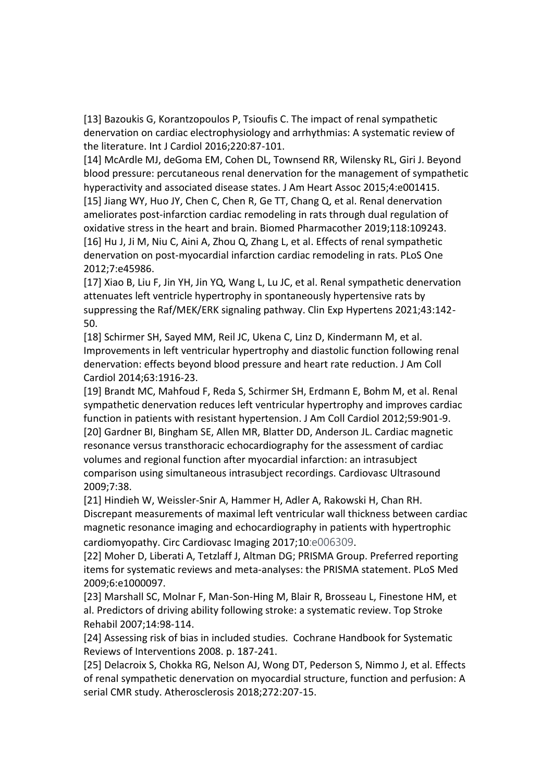[13] Bazoukis G, Korantzopoulos P, Tsioufis C. The impact of renal sympathetic denervation on cardiac electrophysiology and arrhythmias: A systematic review of the literature. Int J Cardiol 2016;220:87-101.

[14] McArdle MJ, deGoma EM, Cohen DL, Townsend RR, Wilensky RL, Giri J. Beyond blood pressure: percutaneous renal denervation for the management of sympathetic hyperactivity and associated disease states. J Am Heart Assoc 2015;4:e001415.

[15] Jiang WY, Huo JY, Chen C, Chen R, Ge TT, Chang Q, et al. Renal denervation ameliorates post-infarction cardiac remodeling in rats through dual regulation of oxidative stress in the heart and brain. Biomed Pharmacother 2019;118:109243. [16] Hu J, Ji M, Niu C, Aini A, Zhou Q, Zhang L, et al. Effects of renal sympathetic denervation on post-myocardial infarction cardiac remodeling in rats. PLoS One 2012;7:e45986.

[17] Xiao B, Liu F, Jin YH, Jin YQ, Wang L, Lu JC, et al. Renal sympathetic denervation attenuates left ventricle hypertrophy in spontaneously hypertensive rats by suppressing the Raf/MEK/ERK signaling pathway. Clin Exp Hypertens 2021;43:142- 50.

[18] Schirmer SH, Sayed MM, Reil JC, Ukena C, Linz D, Kindermann M, et al. Improvements in left ventricular hypertrophy and diastolic function following renal denervation: effects beyond blood pressure and heart rate reduction. J Am Coll Cardiol 2014;63:1916-23.

[19] Brandt MC, Mahfoud F, Reda S, Schirmer SH, Erdmann E, Bohm M, et al. Renal sympathetic denervation reduces left ventricular hypertrophy and improves cardiac function in patients with resistant hypertension. J Am Coll Cardiol 2012;59:901-9. [20] Gardner BI, Bingham SE, Allen MR, Blatter DD, Anderson JL. Cardiac magnetic resonance versus transthoracic echocardiography for the assessment of cardiac volumes and regional function after myocardial infarction: an intrasubject comparison using simultaneous intrasubject recordings. Cardiovasc Ultrasound 2009;7:38.

[21] Hindieh W, Weissler-Snir A, Hammer H, Adler A, Rakowski H, Chan RH. Discrepant measurements of maximal left ventricular wall thickness between cardiac magnetic resonance imaging and echocardiography in patients with hypertrophic cardiomyopathy. Circ Cardiovasc Imaging 2017;10:e006309.

[22] Moher D, Liberati A, Tetzlaff J, Altman DG; PRISMA Group. Preferred reporting items for systematic reviews and meta-analyses: the PRISMA statement. PLoS Med 2009;6:e1000097.

[23] Marshall SC, Molnar F, Man-Son-Hing M, Blair R, Brosseau L, Finestone HM, et al. Predictors of driving ability following stroke: a systematic review. Top Stroke Rehabil 2007;14:98-114.

[24] Assessing risk of bias in included studies. Cochrane Handbook for Systematic Reviews of Interventions 2008. p. 187-241.

[25] Delacroix S, Chokka RG, Nelson AJ, Wong DT, Pederson S, Nimmo J, et al. Effects of renal sympathetic denervation on myocardial structure, function and perfusion: A serial CMR study. Atherosclerosis 2018;272:207-15.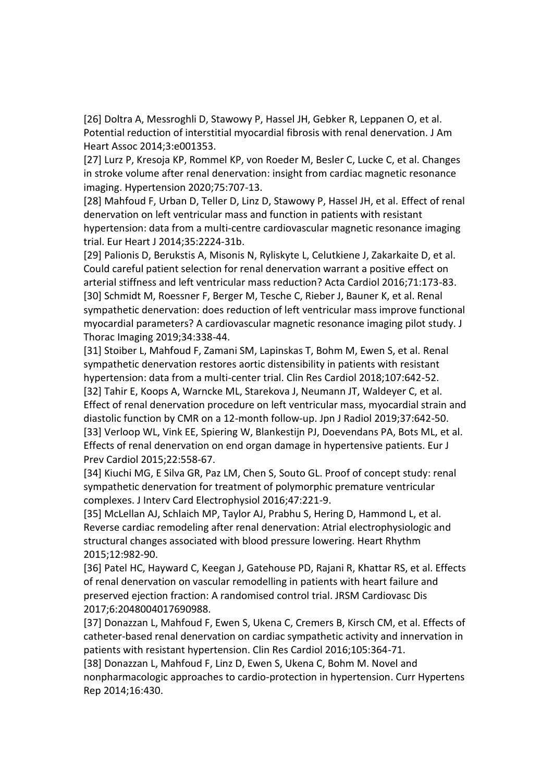[26] Doltra A, Messroghli D, Stawowy P, Hassel JH, Gebker R, Leppanen O, et al. Potential reduction of interstitial myocardial fibrosis with renal denervation. J Am Heart Assoc 2014;3:e001353.

[27] Lurz P, Kresoja KP, Rommel KP, von Roeder M, Besler C, Lucke C, et al. Changes in stroke volume after renal denervation: insight from cardiac magnetic resonance imaging. Hypertension 2020;75:707-13.

[28] Mahfoud F, Urban D, Teller D, Linz D, Stawowy P, Hassel JH, et al. Effect of renal denervation on left ventricular mass and function in patients with resistant hypertension: data from a multi-centre cardiovascular magnetic resonance imaging trial. Eur Heart J 2014;35:2224-31b.

[29] Palionis D, Berukstis A, Misonis N, Ryliskyte L, Celutkiene J, Zakarkaite D, et al. Could careful patient selection for renal denervation warrant a positive effect on arterial stiffness and left ventricular mass reduction? Acta Cardiol 2016;71:173-83. [30] Schmidt M, Roessner F, Berger M, Tesche C, Rieber J, Bauner K, et al. Renal sympathetic denervation: does reduction of left ventricular mass improve functional myocardial parameters? A cardiovascular magnetic resonance imaging pilot study. J Thorac Imaging 2019;34:338-44.

[31] Stoiber L, Mahfoud F, Zamani SM, Lapinskas T, Bohm M, Ewen S, et al. Renal sympathetic denervation restores aortic distensibility in patients with resistant hypertension: data from a multi-center trial. Clin Res Cardiol 2018;107:642-52. [32] Tahir E, Koops A, Warncke ML, Starekova J, Neumann JT, Waldeyer C, et al. Effect of renal denervation procedure on left ventricular mass, myocardial strain and diastolic function by CMR on a 12-month follow-up. Jpn J Radiol 2019;37:642-50. [33] Verloop WL, Vink EE, Spiering W, Blankestijn PJ, Doevendans PA, Bots ML, et al. Effects of renal denervation on end organ damage in hypertensive patients. Eur J Prev Cardiol 2015;22:558-67.

[34] Kiuchi MG, E Silva GR, Paz LM, Chen S, Souto GL. Proof of concept study: renal sympathetic denervation for treatment of polymorphic premature ventricular complexes. J Interv Card Electrophysiol 2016;47:221-9.

[35] McLellan AJ, Schlaich MP, Taylor AJ, Prabhu S, Hering D, Hammond L, et al. Reverse cardiac remodeling after renal denervation: Atrial electrophysiologic and structural changes associated with blood pressure lowering. Heart Rhythm 2015;12:982-90.

[36] Patel HC, Hayward C, Keegan J, Gatehouse PD, Rajani R, Khattar RS, et al. Effects of renal denervation on vascular remodelling in patients with heart failure and preserved ejection fraction: A randomised control trial. JRSM Cardiovasc Dis 2017;6:2048004017690988.

[37] Donazzan L, Mahfoud F, Ewen S, Ukena C, Cremers B, Kirsch CM, et al. Effects of catheter-based renal denervation on cardiac sympathetic activity and innervation in patients with resistant hypertension. Clin Res Cardiol 2016;105:364-71.

[38] Donazzan L, Mahfoud F, Linz D, Ewen S, Ukena C, Bohm M. Novel and nonpharmacologic approaches to cardio-protection in hypertension. Curr Hypertens Rep 2014;16:430.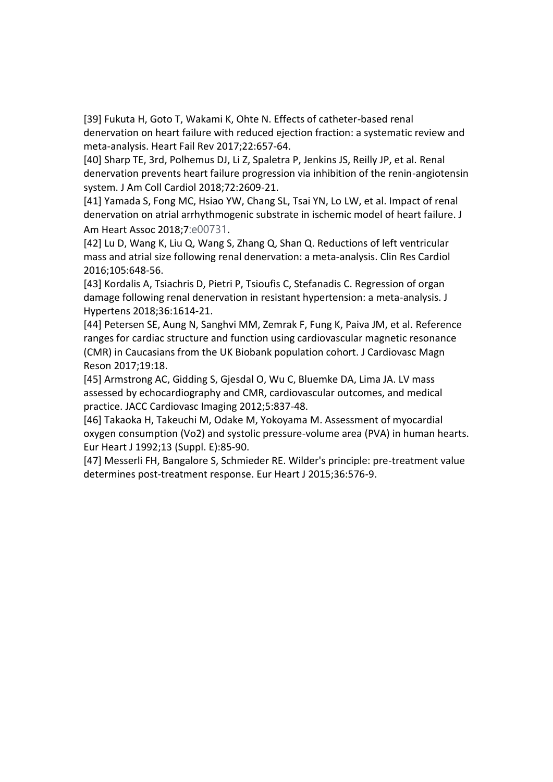[39] Fukuta H, Goto T, Wakami K, Ohte N. Effects of catheter-based renal denervation on heart failure with reduced ejection fraction: a systematic review and meta-analysis. Heart Fail Rev 2017;22:657-64.

[40] Sharp TE, 3rd, Polhemus DJ, Li Z, Spaletra P, Jenkins JS, Reilly JP, et al. Renal denervation prevents heart failure progression via inhibition of the renin-angiotensin system. J Am Coll Cardiol 2018;72:2609-21.

[41] Yamada S, Fong MC, Hsiao YW, Chang SL, Tsai YN, Lo LW, et al. Impact of renal denervation on atrial arrhythmogenic substrate in ischemic model of heart failure. J Am Heart Assoc 2018;7:e00731.

[42] Lu D, Wang K, Liu Q, Wang S, Zhang Q, Shan Q. Reductions of left ventricular mass and atrial size following renal denervation: a meta-analysis. Clin Res Cardiol 2016;105:648-56.

[43] Kordalis A, Tsiachris D, Pietri P, Tsioufis C, Stefanadis C. Regression of organ damage following renal denervation in resistant hypertension: a meta-analysis. J Hypertens 2018;36:1614-21.

[44] Petersen SE, Aung N, Sanghvi MM, Zemrak F, Fung K, Paiva JM, et al. Reference ranges for cardiac structure and function using cardiovascular magnetic resonance (CMR) in Caucasians from the UK Biobank population cohort. J Cardiovasc Magn Reson 2017;19:18.

[45] Armstrong AC, Gidding S, Gjesdal O, Wu C, Bluemke DA, Lima JA. LV mass assessed by echocardiography and CMR, cardiovascular outcomes, and medical practice. JACC Cardiovasc Imaging 2012;5:837-48.

[46] Takaoka H, Takeuchi M, Odake M, Yokoyama M. Assessment of myocardial oxygen consumption (Vo2) and systolic pressure-volume area (PVA) in human hearts. Eur Heart J 1992;13 (Suppl. E):85-90.

[47] Messerli FH, Bangalore S, Schmieder RE. Wilder's principle: pre-treatment value determines post-treatment response. Eur Heart J 2015;36:576-9.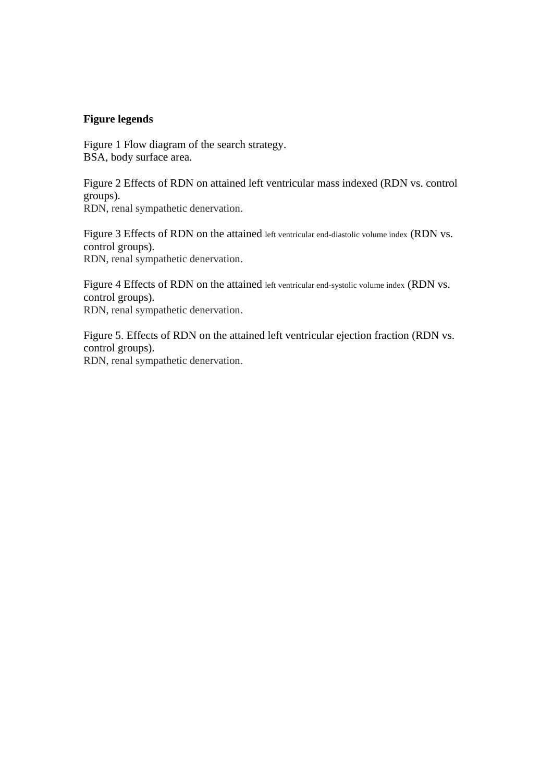## **Figure legends**

Figure 1 Flow diagram of the search strategy. BSA, body surface area.

Figure 2 Effects of RDN on attained left ventricular mass indexed (RDN vs. control groups). RDN, renal sympathetic denervation.

Figure 3 Effects of RDN on the attained left ventricular end-diastolic volume index (RDN vs. control groups). RDN, renal sympathetic denervation.

Figure 4 Effects of RDN on the attained left ventricular end-systolic volume index (RDN vs. control groups). RDN, renal sympathetic denervation.

Figure 5. Effects of RDN on the attained left ventricular ejection fraction (RDN vs. control groups). RDN, renal sympathetic denervation.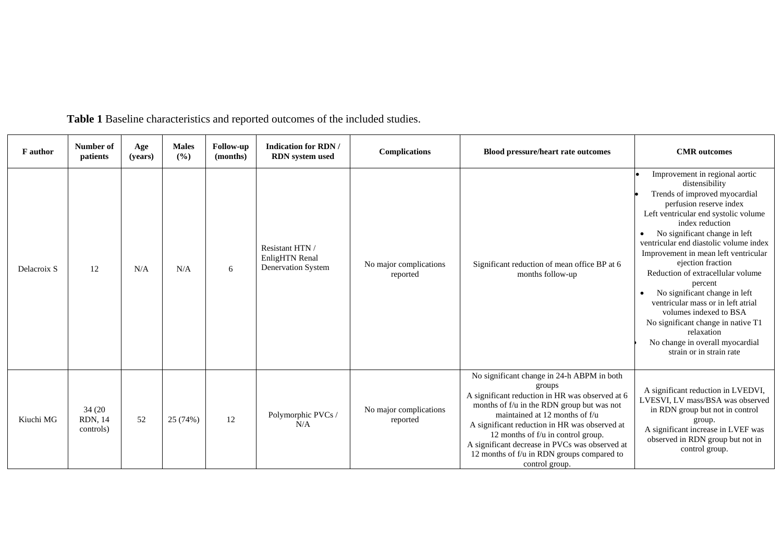| <b>F</b> author | Number of<br>patients                  | Age<br>(years) | <b>Males</b><br>(%) | Follow-up<br>(months) | <b>Indication for RDN/</b><br><b>RDN</b> system used    | <b>Complications</b>               | <b>Blood pressure/heart rate outcomes</b>                                                                                                                                                                                                                                                                                                                                                        | <b>CMR</b> outcomes                                                                                                                                                                                                                                                                                                                                                                                                                                                                                                                                                                 |
|-----------------|----------------------------------------|----------------|---------------------|-----------------------|---------------------------------------------------------|------------------------------------|--------------------------------------------------------------------------------------------------------------------------------------------------------------------------------------------------------------------------------------------------------------------------------------------------------------------------------------------------------------------------------------------------|-------------------------------------------------------------------------------------------------------------------------------------------------------------------------------------------------------------------------------------------------------------------------------------------------------------------------------------------------------------------------------------------------------------------------------------------------------------------------------------------------------------------------------------------------------------------------------------|
| Delacroix S     | 12                                     | N/A            | N/A                 | 6                     | Resistant HTN /<br>EnligHTN Renal<br>Denervation System | No major complications<br>reported | Significant reduction of mean office BP at 6<br>months follow-up                                                                                                                                                                                                                                                                                                                                 | Improvement in regional aortic<br>distensibility<br>Trends of improved myocardial<br>perfusion reserve index<br>Left ventricular end systolic volume<br>index reduction<br>No significant change in left<br>ventricular end diastolic volume index<br>Improvement in mean left ventricular<br>ejection fraction<br>Reduction of extracellular volume<br>percent<br>No significant change in left<br>ventricular mass or in left atrial<br>volumes indexed to BSA<br>No significant change in native T1<br>relaxation<br>No change in overall myocardial<br>strain or in strain rate |
| Kiuchi MG       | 34 (20)<br><b>RDN, 14</b><br>controls) | 52             | 25 (74%)            | 12                    | Polymorphic PVCs /<br>N/A                               | No major complications<br>reported | No significant change in 24-h ABPM in both<br>groups<br>A significant reduction in HR was observed at 6<br>months of f/u in the RDN group but was not<br>maintained at 12 months of f/u<br>A significant reduction in HR was observed at<br>12 months of f/u in control group.<br>A significant decrease in PVCs was observed at<br>12 months of f/u in RDN groups compared to<br>control group. | A significant reduction in LVEDVI,<br>LVESVI, LV mass/BSA was observed<br>in RDN group but not in control<br>group.<br>A significant increase in LVEF was<br>observed in RDN group but not in<br>control group.                                                                                                                                                                                                                                                                                                                                                                     |

**Table 1** Baseline characteristics and reported outcomes of the included studies.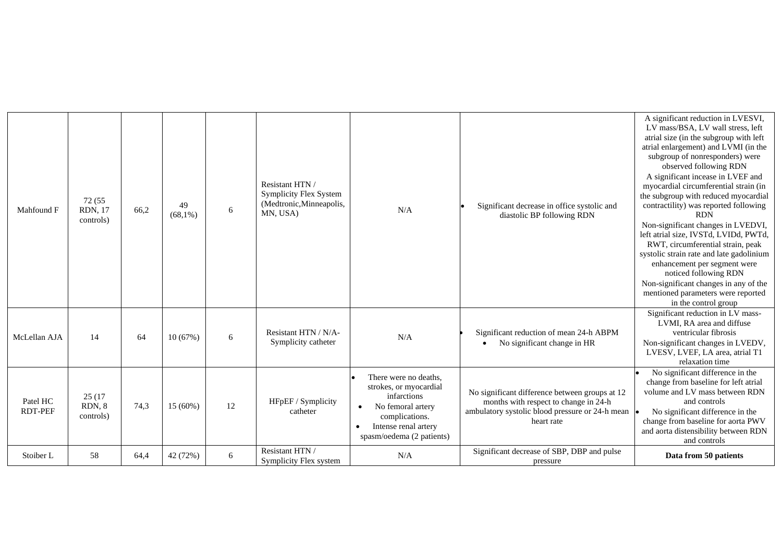| Mahfound F                 | 72 (55)<br><b>RDN, 17</b><br>controls) | 66.2 | 49<br>$(68,1\%)$ | 6  | Resistant HTN /<br><b>Symplicity Flex System</b><br>(Medtronic, Minneapolis,<br>MN, USA) | N/A                                                                                                                                                                     | Significant decrease in office systolic and<br>diastolic BP following RDN                                                                                | A significant reduction in LVESVI,<br>LV mass/BSA, LV wall stress, left<br>atrial size (in the subgroup with left<br>atrial enlargement) and LVMI (in the<br>subgroup of nonresponders) were<br>observed following RDN<br>A significant incease in LVEF and<br>myocardial circumferential strain (in<br>the subgroup with reduced myocardial<br>contractility) was reported following<br><b>RDN</b><br>Non-significant changes in LVEDVI,<br>left atrial size, IVSTd, LVIDd, PWTd,<br>RWT, circumferential strain, peak<br>systolic strain rate and late gadolinium<br>enhancement per segment were<br>noticed following RDN<br>Non-significant changes in any of the<br>mentioned parameters were reported<br>in the control group |
|----------------------------|----------------------------------------|------|------------------|----|------------------------------------------------------------------------------------------|-------------------------------------------------------------------------------------------------------------------------------------------------------------------------|----------------------------------------------------------------------------------------------------------------------------------------------------------|-------------------------------------------------------------------------------------------------------------------------------------------------------------------------------------------------------------------------------------------------------------------------------------------------------------------------------------------------------------------------------------------------------------------------------------------------------------------------------------------------------------------------------------------------------------------------------------------------------------------------------------------------------------------------------------------------------------------------------------|
| McLellan AJA               | 14                                     | 64   | 10(67%)          | 6  | Resistant HTN / N/A-<br>Symplicity catheter                                              | N/A                                                                                                                                                                     | Significant reduction of mean 24-h ABPM<br>No significant change in HR                                                                                   | Significant reduction in LV mass-<br>LVMI, RA area and diffuse<br>ventricular fibrosis<br>Non-significant changes in LVEDV,<br>LVESV, LVEF, LA area, atrial T1<br>relaxation time                                                                                                                                                                                                                                                                                                                                                                                                                                                                                                                                                   |
| Patel HC<br><b>RDT-PEF</b> | 25 (17)<br>RDN, 8<br>controls)         | 74.3 | 15 (60%)         | 12 | HFpEF / Symplicity<br>catheter                                                           | There were no deaths,<br>strokes, or myocardial<br>infarctions<br>No femoral artery<br>$\bullet$<br>complications.<br>Intense renal artery<br>spasm/oedema (2 patients) | No significant difference between groups at 12<br>months with respect to change in 24-h<br>ambulatory systolic blood pressure or 24-h mean<br>heart rate | No significant difference in the<br>change from baseline for left atrial<br>volume and LV mass between RDN<br>and controls<br>No significant difference in the<br>change from baseline for aorta PWV<br>and aorta distensibility between RDN<br>and controls                                                                                                                                                                                                                                                                                                                                                                                                                                                                        |
| Stoiber L                  | 58                                     | 64,4 | 42 (72%)         | 6  | Resistant HTN /<br>Symplicity Flex system                                                | N/A                                                                                                                                                                     | Significant decrease of SBP, DBP and pulse<br>pressure                                                                                                   | Data from 50 patients                                                                                                                                                                                                                                                                                                                                                                                                                                                                                                                                                                                                                                                                                                               |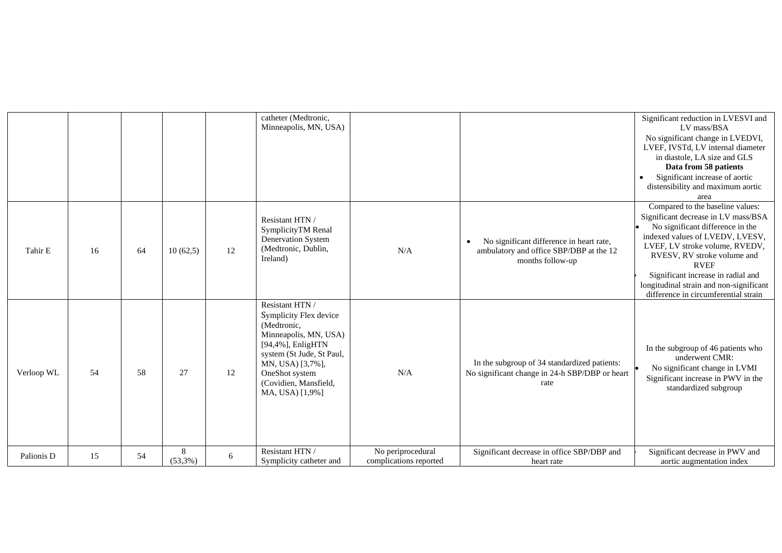|            |    |    |                       |    | catheter (Medtronic,<br>Minneapolis, MN, USA)                                                                                                                                                                         |                                             |                                                                                                         | Significant reduction in LVESVI and<br>LV mass/BSA<br>No significant change in LVEDVI,<br>LVEF, IVSTd, LV internal diameter<br>in diastole, LA size and GLS<br>Data from 58 patients<br>Significant increase of aortic<br>$\bullet$<br>distensibility and maximum aortic<br>area                                                                        |
|------------|----|----|-----------------------|----|-----------------------------------------------------------------------------------------------------------------------------------------------------------------------------------------------------------------------|---------------------------------------------|---------------------------------------------------------------------------------------------------------|---------------------------------------------------------------------------------------------------------------------------------------------------------------------------------------------------------------------------------------------------------------------------------------------------------------------------------------------------------|
| Tahir E    | 16 | 64 | 10(62,5)              | 12 | Resistant HTN /<br>SymplicityTM Renal<br>Denervation System<br>(Medtronic, Dublin,<br>Ireland)                                                                                                                        | N/A                                         | No significant difference in heart rate,<br>ambulatory and office SBP/DBP at the 12<br>months follow-up | Compared to the baseline values:<br>Significant decrease in LV mass/BSA<br>No significant difference in the<br>indexed values of LVEDV, LVESV,<br>LVEF, LV stroke volume, RVEDV,<br>RVESV, RV stroke volume and<br><b>RVEF</b><br>Significant increase in radial and<br>longitudinal strain and non-significant<br>difference in circumferential strain |
| Verloop WL | 54 | 58 | 27                    | 12 | Resistant HTN /<br>Symplicity Flex device<br>(Medtronic,<br>Minneapolis, MN, USA)<br>[94,4%], EnligHTN<br>system (St Jude, St Paul,<br>MN, USA) [3,7%],<br>OneShot system<br>(Covidien, Mansfield,<br>MA, USA) [1,9%] | N/A                                         | In the subgroup of 34 standardized patients:<br>No significant change in 24-h SBP/DBP or heart<br>rate  | In the subgroup of 46 patients who<br>underwent CMR:<br>No significant change in LVMI<br>Significant increase in PWV in the<br>standardized subgroup                                                                                                                                                                                                    |
| Palionis D | 15 | 54 | $\,8\,$<br>$(53,3\%)$ | 6  | Resistant HTN /<br>Symplicity catheter and                                                                                                                                                                            | No periprocedural<br>complications reported | Significant decrease in office SBP/DBP and<br>heart rate                                                | Significant decrease in PWV and<br>aortic augmentation index                                                                                                                                                                                                                                                                                            |